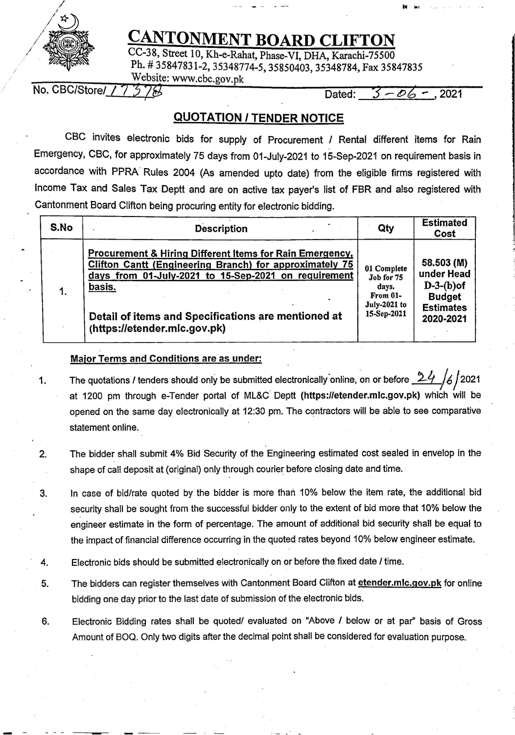

/

## CANTONMENT BOARD CLIFTON CC-38, Street 10, Kh-e-Rahat, Phase-VI, DHA, Karachi-75500

*CANTONMENT BOARD CLIFTON*<br>
CC-38, Street 10, Kh-e-Rahat, Phase-VI, DHA, Karachi-75500<br>
Ph. #35847831-2, 35348774-5, 35850403, 35348784, Fax 3584<sup>7</sup><br>
Website: www.cbc.gov.pk<br>
Mo. CBC/Store/\_\_\_\_\_\_\_\_\_\_\_\_\_\_\_\_\_\_\_\_\_\_\_\_\_\_\_\_\_\_ Ph. # 35847831-2, 35348774-5, 35850403, 35348784, Fax 35847835 Website: www.cbc.gov.pk

No. CBC/Store/ $/7$  5 7 $\%$ 

Dated:  $3 - 06 - .2021$ 

## **QUOTATION/ TENDER NOTICE**

CBC invites electronic bids for supply of Procurement / Rental different items for Rain Emergency, CBC, for approximately 75 days from 01-July-2021 to 15-Sep-2021 on requirement basis in accordance with PPRA Rules 2004 (As amended upto date) from the eligible firms registered with Income Tax and Sales Tax Deptt and are on active tax payer's list of FBR and also registered with Cantonment Board Clifton being procuring entity for electronic bidding.

| S.No | <b>Description</b>                                                  | Qty                 | <b>Estimated</b><br>Cost |
|------|---------------------------------------------------------------------|---------------------|--------------------------|
|      | <b>Procurement &amp; Hiring Different Items for Rain Emergency,</b> | 01 Complete         | 58.503 (M)               |
|      | <b>Clifton Cantt (Engineering Branch) for approximately 75</b>      | Job for 75          | under Head               |
|      | days from 01-July-2021 to 15-Sep-2021 on requirement                | days.               | $D-3-(b)$ of             |
|      | basis.                                                              | From 01-            | <b>Budget</b>            |
|      | Detail of items and Specifications are mentioned at                 | <b>July-2021 to</b> | <b>Estimates</b>         |
|      | (https://etender.mlc.gov.pk)                                        | 15-Sep-2021         | 2020-2021                |

## **Major Terms and Conditions are as under:**

- 1. The quotations / tenders should only be submitted electronically online, on or before 24 /6/2021 at 1200 pm through e-Tender portal of ML&C Deptt **(https:1/etender.mlc.gov.pk)** which will be opened on the same day electronically at 12:30 pm. The contractors will be able to see comparative statement online.
- 2. The bidder shall submit **4%** Bid Security of the Engineering estimated cost sealed in envelop in the shape of call deposit at (original) only through courier before closing date and time.
- 3. In case of bid/rate quoted by the bidder is more than 10% below the item rate, the additional bid security shall be sought from the successful bidder only to the extent of bid more that 10% below the engineer estimate in the form of percentage. The amount of additional bid security shall be equal to the impact of financial difference occurring in the quoted rates beyond 10% below engineer estimate.
- **4.** Electronic bids should be submitted electronically on or before the fixed date *I* time.
- 5. The bidders can register themselves with Cantonment Board Clifton at **etender.mlc.gov.pk** for online bidding one day prior to the last date of submission of the electronic bids.
- 6. Electronic Bidding rates shall be quoted/ evaluated on "Above *I* below or at par" basis of Gross Amount of BOQ. Only two digits after the decimal point shall be considered for evaluation purpose.